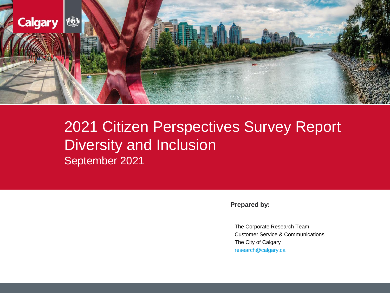

# 2021 Citizen Perspectives Survey Report Diversity and Inclusion September 2021

**Prepared by:**

The Corporate Research Team Customer Service & Communications The City of Calgary [research@calgary.ca](mailto:research@calgary.ca)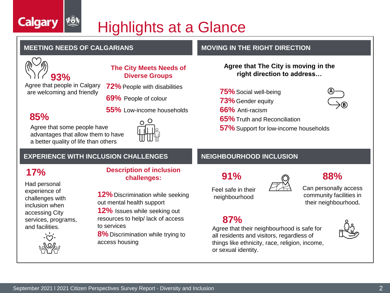# Highlights at a Glance



**Calgary** 

### **The City Meets Needs of Diverse Groups**

Agree that people in Calgary are welcoming and friendly

**72%** People with disabilities

**55%** Low-income households

O

**69%** People of colour

## **85%**

Agree that some people have advantages that allow them to have a better quality of life than others

## **EXPERIENCE WITH INCLUSION CHALLENGES NEIGHBOURHOOD INCLUSION**

## **17%**

Had personal experience of challenges with inclusion when accessing City services, programs, and facilities.



### **Description of inclusion challenges:**

**12%** Discrimination while seeking out mental health support

**12%** Issues while seeking out resources to help/ lack of access to services

**8%** Discrimination while trying to access housing

### **MEETING NEEDS OF CALGARIANS MEETING IN THE RIGHT DIRECTION**

**Agree that The City is moving in the right direction to address…**

**75%** Social well-being **73%** Gender equity **66%** Anti-racism **65%** Truth and Reconciliation **57%** Support for low-income households



**91%**

Feel safe in their neighbourhood



**88%**

Can personally access community facilities in their neighbourhood**.**

## **87%**

Agree that their neighbourhood is safe for all residents and visitors, regardless of things like ethnicity, race, religion, income, or sexual identity.

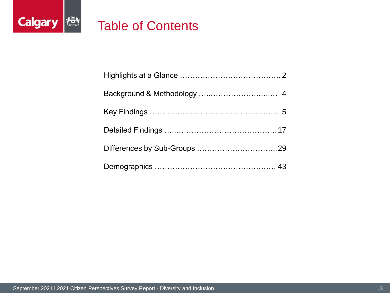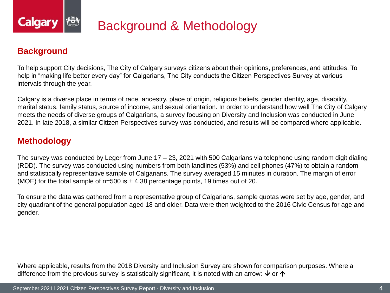

## **Background**

To help support City decisions, The City of Calgary surveys citizens about their opinions, preferences, and attitudes. To help in "making life better every day" for Calgarians, The City conducts the Citizen Perspectives Survey at various intervals through the year.

Calgary is a diverse place in terms of race, ancestry, place of origin, religious beliefs, gender identity, age, disability, marital status, family status, source of income, and sexual orientation. In order to understand how well The City of Calgary meets the needs of diverse groups of Calgarians, a survey focusing on Diversity and Inclusion was conducted in June 2021. In late 2018, a similar Citizen Perspectives survey was conducted, and results will be compared where applicable.

## **Methodology**

The survey was conducted by Leger from June 17 – 23, 2021 with 500 Calgarians via telephone using random digit dialing (RDD). The survey was conducted using numbers from both landlines (53%) and cell phones (47%) to obtain a random and statistically representative sample of Calgarians. The survey averaged 15 minutes in duration. The margin of error (MOE) for the total sample of  $n=500$  is  $\pm 4.38$  percentage points, 19 times out of 20.

To ensure the data was gathered from a representative group of Calgarians, sample quotas were set by age, gender, and city quadrant of the general population aged 18 and older. Data were then weighted to the 2016 Civic Census for age and gender.

Where applicable, results from the 2018 Diversity and Inclusion Survey are shown for comparison purposes. Where a difference from the previous survey is statistically significant, it is noted with an arrow:  $\vee$  or  $\uparrow$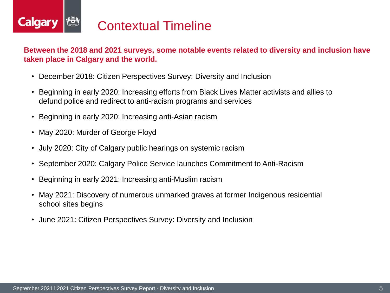

### **Between the 2018 and 2021 surveys, some notable events related to diversity and inclusion have taken place in Calgary and the world.**

- December 2018: Citizen Perspectives Survey: Diversity and Inclusion
- Beginning in early 2020: Increasing efforts from Black Lives Matter activists and allies to defund police and redirect to anti-racism programs and services
- Beginning in early 2020: Increasing anti-Asian racism
- May 2020: Murder of George Floyd
- July 2020: City of Calgary public hearings on systemic racism
- September 2020: Calgary Police Service launches Commitment to Anti-Racism
- Beginning in early 2021: Increasing anti-Muslim racism
- May 2021: Discovery of numerous unmarked graves at former Indigenous residential school sites begins
- June 2021: Citizen Perspectives Survey: Diversity and Inclusion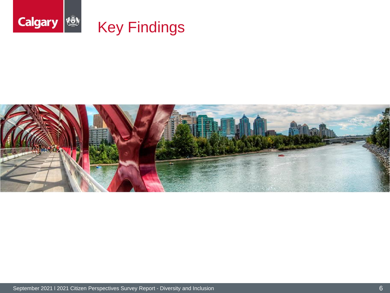

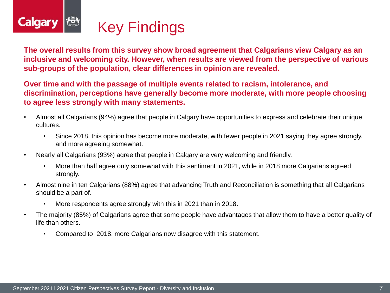

**The overall results from this survey show broad agreement that Calgarians view Calgary as an inclusive and welcoming city. However, when results are viewed from the perspective of various sub-groups of the population, clear differences in opinion are revealed.**

**Over time and with the passage of multiple events related to racism, intolerance, and discrimination, perceptions have generally become more moderate, with more people choosing to agree less strongly with many statements.**

- Almost all Calgarians (94%) agree that people in Calgary have opportunities to express and celebrate their unique cultures.
	- Since 2018, this opinion has become more moderate, with fewer people in 2021 saying they agree strongly, and more agreeing somewhat.
- Nearly all Calgarians (93%) agree that people in Calgary are very welcoming and friendly.
	- More than half agree only somewhat with this sentiment in 2021, while in 2018 more Calgarians agreed strongly.
- Almost nine in ten Calgarians (88%) agree that advancing Truth and Reconciliation is something that all Calgarians should be a part of.
	- More respondents agree strongly with this in 2021 than in 2018.
- The majority (85%) of Calgarians agree that some people have advantages that allow them to have a better quality of life than others.
	- Compared to 2018, more Calgarians now disagree with this statement.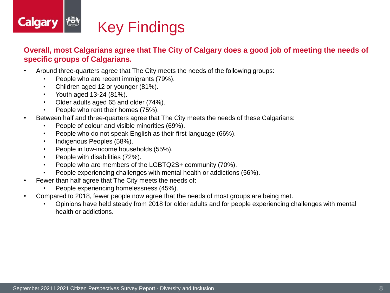

### **Overall, most Calgarians agree that The City of Calgary does a good job of meeting the needs of specific groups of Calgarians.**

- Around three-quarters agree that The City meets the needs of the following groups:
	- People who are recent immigrants (79%).
	- Children aged 12 or younger (81%).
	- Youth aged 13-24 (81%).
	- Older adults aged 65 and older (74%).
	- People who rent their homes (75%).
- Between half and three-quarters agree that The City meets the needs of these Calgarians:
	- People of colour and visible minorities (69%).
	- People who do not speak English as their first language (66%).
	- Indigenous Peoples (58%).
	- People in low-income households (55%).
	- People with disabilities (72%).
	- People who are members of the LGBTQ2S+ community (70%).
	- People experiencing challenges with mental health or addictions (56%).
- Fewer than half agree that The City meets the needs of:
	- People experiencing homelessness (45%).
- Compared to 2018, fewer people now agree that the needs of most groups are being met.
	- Opinions have held steady from 2018 for older adults and for people experiencing challenges with mental health or addictions.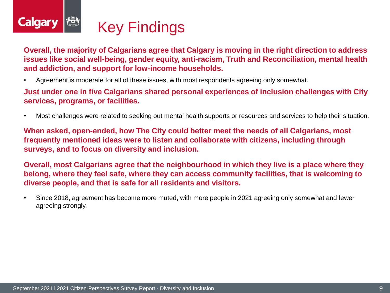

**Overall, the majority of Calgarians agree that Calgary is moving in the right direction to address issues like social well-being, gender equity, anti-racism, Truth and Reconciliation, mental health and addiction, and support for low-income households.**

• Agreement is moderate for all of these issues, with most respondents agreeing only somewhat.

**Just under one in five Calgarians shared personal experiences of inclusion challenges with City services, programs, or facilities.**

• Most challenges were related to seeking out mental health supports or resources and services to help their situation.

**When asked, open-ended, how The City could better meet the needs of all Calgarians, most frequently mentioned ideas were to listen and collaborate with citizens, including through surveys, and to focus on diversity and inclusion.**

**Overall, most Calgarians agree that the neighbourhood in which they live is a place where they belong, where they feel safe, where they can access community facilities, that is welcoming to diverse people, and that is safe for all residents and visitors.**

• Since 2018, agreement has become more muted, with more people in 2021 agreeing only somewhat and fewer agreeing strongly.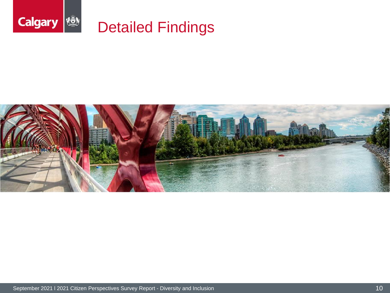

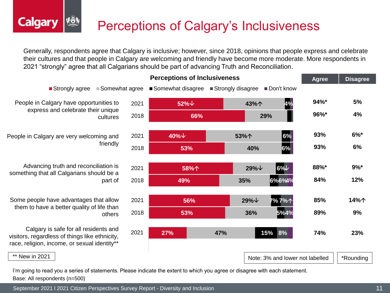# Perceptions of Calgary's Inclusiveness

Generally, respondents agree that Calgary is inclusive; however, since 2018, opinions that people express and celebrate their cultures and that people in Calgary are welcoming and friendly have become more moderate. More respondents in 2021 "strongly" agree that all Calgarians should be part of advancing Truth and Reconciliation.

![](_page_10_Figure_2.jpeg)

I'm going to read you a series of statements. Please indicate the extent to which you agree or disagree with each statement. Base: All respondents (n=500)

September 2021 l 2021 Citizen Perspectives Survey Report - Diversity and Inclusion 11 11 11 11 11 11 11 11 11 1

**Calgary**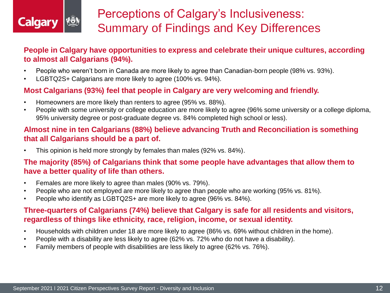![](_page_11_Picture_0.jpeg)

# Perceptions of Calgary's Inclusiveness: Summary of Findings and Key Differences

## **People in Calgary have opportunities to express and celebrate their unique cultures, according to almost all Calgarians (94%).**

- People who weren't born in Canada are more likely to agree than Canadian-born people (98% vs. 93%).
- LGBTQ2S+ Calgarians are more likely to agree (100% vs. 94%).

## **Most Calgarians (93%) feel that people in Calgary are very welcoming and friendly.**

- Homeowners are more likely than renters to agree (95% vs. 88%).
- People with some university or college education are more likely to agree (96% some university or a college diploma, 95% university degree or post-graduate degree vs. 84% completed high school or less).

## **Almost nine in ten Calgarians (88%) believe advancing Truth and Reconciliation is something that all Calgarians should be a part of.**

• This opinion is held more strongly by females than males (92% vs. 84%).

### **The majority (85%) of Calgarians think that some people have advantages that allow them to have a better quality of life than others.**

- Females are more likely to agree than males (90% vs. 79%).
- People who are not employed are more likely to agree than people who are working (95% vs. 81%).
- People who identify as LGBTQ2S+ are more likely to agree (96% vs. 84%).

## **Three-quarters of Calgarians (74%) believe that Calgary is safe for all residents and visitors, regardless of things like ethnicity, race, religion, income, or sexual identity.**

- Households with children under 18 are more likely to agree (86% vs. 69% without children in the home).
- People with a disability are less likely to agree (62% vs. 72% who do not have a disability).
- Family members of people with disabilities are less likely to agree (62% vs. 76%).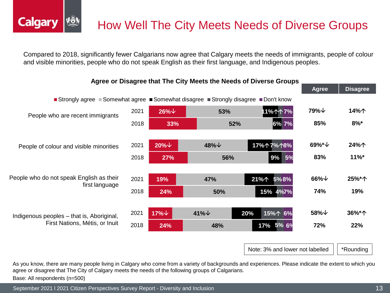Compared to 2018, significantly fewer Calgarians now agree that Calgary meets the needs of immigrants, people of colour and visible minorities, people who do not speak English as their first language, and Indigenous peoples.

![](_page_12_Figure_2.jpeg)

Note: 3% and lower not labelled  $||$  \*Rounding

As you know, there are many people living in Calgary who come from a variety of backgrounds and experiences. Please indicate the extent to which you agree or disagree that The City of Calgary meets the needs of the following groups of Calgarians.

Base: All respondents (n=500)

**Calgary** 

September 2021 l 2021 Citizen Perspectives Survey Report - Diversity and Inclusion 13 April 13 and 13 April 13 April 13 and 13 April 13 and 13 April 13 April 13 April 13 April 13 April 13 April 13 April 13 April 13 April 1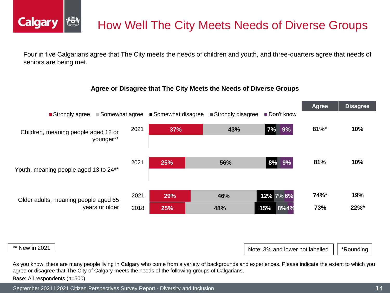![](_page_13_Picture_0.jpeg)

# How Well The City Meets Needs of Diverse Groups

Four in five Calgarians agree that The City meets the needs of children and youth, and three-quarters agree that needs of seniors are being met.

#### **Agree or Disagree that The City Meets the Needs of Diverse Groups**

![](_page_13_Figure_4.jpeg)

|  | ** New in 2021 |
|--|----------------|
|  |                |

Note: 3% and lower not labelled  $||$  \*Rounding

As you know, there are many people living in Calgary who come from a variety of backgrounds and experiences. Please indicate the extent to which you agree or disagree that The City of Calgary meets the needs of the following groups of Calgarians. Base: All respondents (n=500)

September 2021 l 2021 Citizen Perspectives Survey Report - Diversity and Inclusion 14 April 2001 120 and 14 April 2001 14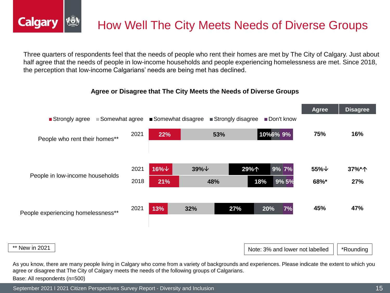![](_page_14_Picture_0.jpeg)

Three quarters of respondents feel that the needs of people who rent their homes are met by The City of Calgary. Just about half agree that the needs of people in low-income households and people experiencing homelessness are met. Since 2018, the perception that low-income Calgarians' needs are being met has declined.

### **Agree or Disagree that The City Meets the Needs of Diverse Groups**

![](_page_14_Figure_3.jpeg)

As you know, there are many people living in Calgary who come from a variety of backgrounds and experiences. Please indicate the extent to which you agree or disagree that The City of Calgary meets the needs of the following groups of Calgarians. Base: All respondents (n=500)

September 2021 l 2021 Citizen Perspectives Survey Report - Diversity and Inclusion 15 April 15 and 15 April 15 April 15 and 15 April 15 and 15 April 15 and 15 April 16 and 15 April 16 April 16 April 16 April 16 April 16 Ap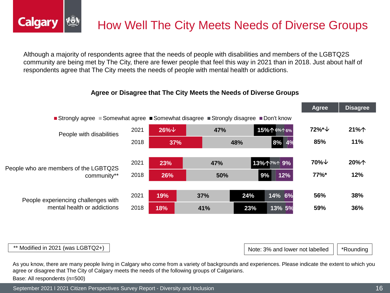![](_page_15_Picture_0.jpeg)

Although a majority of respondents agree that the needs of people with disabilities and members of the LGBTQ2S community are being met by The City, there are fewer people that feel this way in 2021 than in 2018. Just about half of respondents agree that The City meets the needs of people with mental health or addictions.

#### **Agree or Disagree that The City Meets the Needs of Diverse Groups**

|                                              |      |               |                                                                     |     |            | <b>Agree</b>        | <b>Pisayı</b> cc |
|----------------------------------------------|------|---------------|---------------------------------------------------------------------|-----|------------|---------------------|------------------|
| $\blacksquare$ Strongly agree $\blacksquare$ |      |               | Somewhat agree ■ Somewhat disagree ■ Strongly disagree ■ Don't know |     |            |                     |                  |
| People with disabilities                     | 2021 | $26\%$ $\vee$ | 47%                                                                 |     | 15%个6%个6%  | 72%*↓               | 21%个             |
|                                              | 2018 | 37%           |                                                                     | 48% | 8% 4%      | 85%                 | 11%              |
|                                              |      |               |                                                                     |     |            |                     |                  |
| People who are members of the LGBTQ2S        | 2021 | 23%           | 47%                                                                 |     | 13%个7%个 9% | $70\%$ $\downarrow$ | 20%个             |
| community**                                  | 2018 | 26%           | 50%                                                                 |     | 12%<br>9%  | <b>77%</b> *        | 12%              |
|                                              |      |               |                                                                     |     |            |                     |                  |
| People experiencing challenges with          | 2021 | 19%           | 37%                                                                 | 24% | 14% 6%     | 56%                 | 38%              |
| mental health or addictions                  | 2018 | 18%           | 41%                                                                 | 23% | 13% 5%     | 59%                 | 36%              |
|                                              |      |               |                                                                     |     |            |                     |                  |

\*\* Modified in 2021 (was LGBTQ2+)

**Calgary** 

Note: 3% and lower not labelled  $\|\cdot\|$  \*Rounding

**Agree Disagree**

As you know, there are many people living in Calgary who come from a variety of backgrounds and experiences. Please indicate the extent to which you agree or disagree that The City of Calgary meets the needs of the following groups of Calgarians. Base: All respondents (n=500)

September 2021 l 2021 Citizen Perspectives Survey Report - Diversity and Inclusion 16 November 2021 16 November 2021 16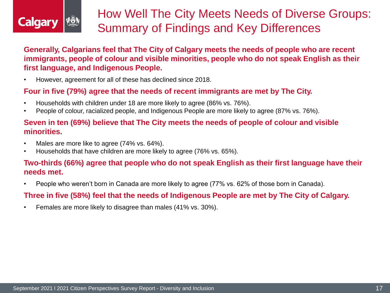![](_page_16_Picture_0.jpeg)

**Generally, Calgarians feel that The City of Calgary meets the needs of people who are recent immigrants, people of colour and visible minorities, people who do not speak English as their first language, and Indigenous People.** 

• However, agreement for all of these has declined since 2018.

### **Four in five (79%) agree that the needs of recent immigrants are met by The City.**

- Households with children under 18 are more likely to agree (86% vs. 76%).
- People of colour, racialized people, and Indigenous People are more likely to agree (87% vs. 76%).

### **Seven in ten (69%) believe that The City meets the needs of people of colour and visible minorities.**

- Males are more like to agree (74% vs. 64%).
- Households that have children are more likely to agree (76% vs. 65%).

### **Two-thirds (66%) agree that people who do not speak English as their first language have their needs met.**

• People who weren't born in Canada are more likely to agree (77% vs. 62% of those born in Canada).

## **Three in five (58%) feel that the needs of Indigenous People are met by The City of Calgary.**

• Females are more likely to disagree than males (41% vs. 30%).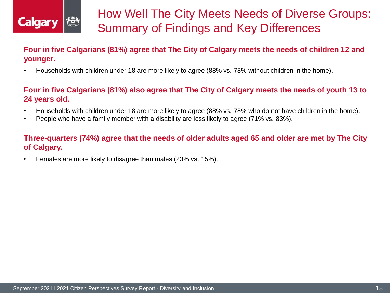![](_page_17_Picture_0.jpeg)

## **Four in five Calgarians (81%) agree that The City of Calgary meets the needs of children 12 and younger.**

• Households with children under 18 are more likely to agree (88% vs. 78% without children in the home).

### **Four in five Calgarians (81%) also agree that The City of Calgary meets the needs of youth 13 to 24 years old.**

- Households with children under 18 are more likely to agree (88% vs. 78% who do not have children in the home).
- People who have a family member with a disability are less likely to agree (71% vs. 83%).

## **Three-quarters (74%) agree that the needs of older adults aged 65 and older are met by The City of Calgary.**

• Females are more likely to disagree than males (23% vs. 15%).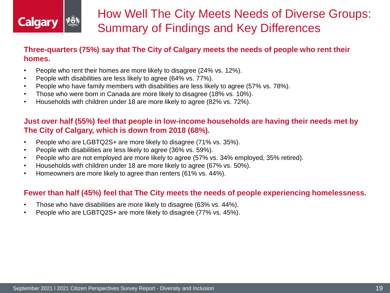![](_page_18_Picture_0.jpeg)

## **Three-quarters (75%) say that The City of Calgary meets the needs of people who rent their homes.**

- People who rent their homes are more likely to disagree (24% vs. 12%).
- People with disabilities are less likely to agree (64% vs. 77%).
- People who have family members with disabilities are less likely to agree (57% vs. 78%).
- Those who were born in Canada are more likely to disagree (18% vs. 10%).
- Households with children under 18 are more likely to agree (82% vs. 72%).

## **Just over half (55%) feel that people in low-income households are having their needs met by The City of Calgary, which is down from 2018 (68%).**

- People who are LGBTQ2S+ are more likely to disagree (71% vs. 35%).
- People with disabilities are less likely to agree (36% vs. 59%).
- People who are not employed are more likely to agree (57% vs. 34% employed, 35% retired).
- Households with children under 18 are more likely to agree (67% vs. 50%).
- Homeowners are more likely to agree than renters (61% vs. 44%).

## **Fewer than half (45%) feel that The City meets the needs of people experiencing homelessness.**

- Those who have disabilities are more likely to disagree (63% vs. 44%).
- People who are LGBTQ2S+ are more likely to disagree (77% vs. 45%).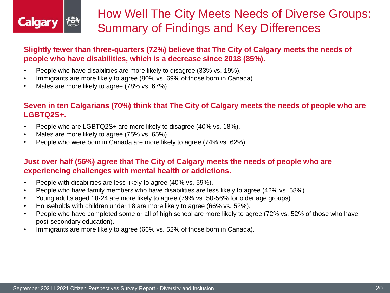![](_page_19_Picture_0.jpeg)

## **Slightly fewer than three-quarters (72%) believe that The City of Calgary meets the needs of people who have disabilities, which is a decrease since 2018 (85%).**

- People who have disabilities are more likely to disagree (33% vs. 19%).
- Immigrants are more likely to agree (80% vs. 69% of those born in Canada).
- Males are more likely to agree (78% vs. 67%).

## **Seven in ten Calgarians (70%) think that The City of Calgary meets the needs of people who are LGBTQ2S+.**

- People who are LGBTQ2S+ are more likely to disagree (40% vs. 18%).
- Males are more likely to agree (75% vs. 65%).
- People who were born in Canada are more likely to agree (74% vs. 62%).

## **Just over half (56%) agree that The City of Calgary meets the needs of people who are experiencing challenges with mental health or addictions.**

- People with disabilities are less likely to agree (40% vs. 59%).
- People who have family members who have disabilities are less likely to agree (42% vs. 58%).
- Young adults aged 18-24 are more likely to agree (79% vs. 50-56% for older age groups).
- Households with children under 18 are more likely to agree (66% vs. 52%).
- People who have completed some or all of high school are more likely to agree (72% vs. 52% of those who have post-secondary education).
- Immigrants are more likely to agree (66% vs. 52% of those born in Canada).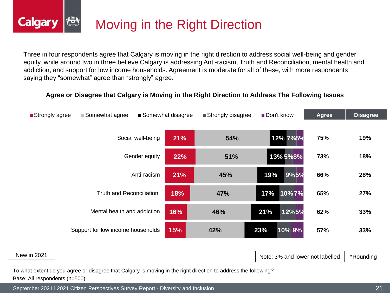![](_page_20_Picture_0.jpeg)

Three in four respondents agree that Calgary is moving in the right direction to address social well-being and gender equity, while around two in three believe Calgary is addressing Anti-racism, Truth and Reconciliation, mental health and addiction, and support for low income households. Agreement is moderate for all of these, with more respondents saying they "somewhat" agree than "strongly" agree.

### **Agree or Disagree that Calgary is Moving in the Right Direction to Address The Following Issues**

![](_page_20_Figure_3.jpeg)

#### New in 2021

Note: 3% and lower not labelled  $\parallel$  \*Rounding

To what extent do you agree or disagree that Calgary is moving in the right direction to address the following? Base: All respondents (n=500)

September 2021 l 2021 Citizen Perspectives Survey Report - Diversity and Inclusion 2000 100 2000 21 21 2000 21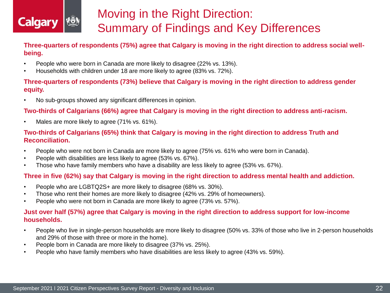![](_page_21_Picture_0.jpeg)

# Moving in the Right Direction: Summary of Findings and Key Differences

**Three-quarters of respondents (75%) agree that Calgary is moving in the right direction to address social wellbeing.**

- People who were born in Canada are more likely to disagree (22% vs. 13%).
- Households with children under 18 are more likely to agree (83% vs. 72%).

### **Three-quarters of respondents (73%) believe that Calgary is moving in the right direction to address gender equity.**

• No sub-groups showed any significant differences in opinion.

### **Two-thirds of Calgarians (66%) agree that Calgary is moving in the right direction to address anti-racism.**

• Males are more likely to agree (71% vs. 61%).

### **Two-thirds of Calgarians (65%) think that Calgary is moving in the right direction to address Truth and Reconciliation.**

- People who were not born in Canada are more likely to agree (75% vs. 61% who were born in Canada).
- People with disabilities are less likely to agree (53% vs. 67%).
- Those who have family members who have a disability are less likely to agree (53% vs. 67%).

### **Three in five (62%) say that Calgary is moving in the right direction to address mental health and addiction.**

- People who are LGBTQ2S+ are more likely to disagree (68% vs. 30%).
- Those who rent their homes are more likely to disagree (42% vs. 29% of homeowners).
- People who were not born in Canada are more likely to agree (73% vs. 57%).

### **Just over half (57%) agree that Calgary is moving in the right direction to address support for low-income households.**

- People who live in single-person households are more likely to disagree (50% vs. 33% of those who live in 2-person households and 29% of those with three or more in the home).
- People born in Canada are more likely to disagree (37% vs. 25%).
- People who have family members who have disabilities are less likely to agree (43% vs. 59%).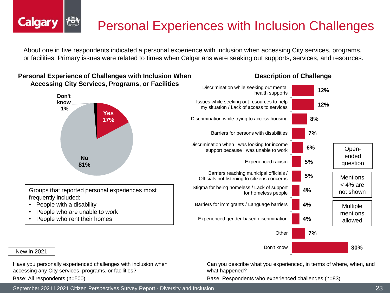# Personal Experiences with Inclusion Challenges

About one in five respondents indicated a personal experience with inclusion when accessing City services, programs, or facilities. Primary issues were related to times when Calgarians were seeking out supports, services, and resources.

### **Personal Experience of Challenges with Inclusion When Accessing City Services, Programs, or Facilities**

![](_page_22_Figure_3.jpeg)

Groups that reported personal experiences most frequently included:

- People with a disability
- People who are unable to work
- People who rent their homes

![](_page_22_Figure_8.jpeg)

### **Description of Challenge**

New in 2021

**Calgary** 

Have you personally experienced challenges with inclusion when accessing any City services, programs, or facilities?

Base: All respondents (n=500)

Can you describe what you experienced, in terms of where, when, and what happened?

Base: Respondents who experienced challenges (n=83)

September 2021 l 2021 Citizen Perspectives Survey Report - Diversity and Inclusion 23 April 2001 120 and 23 April 20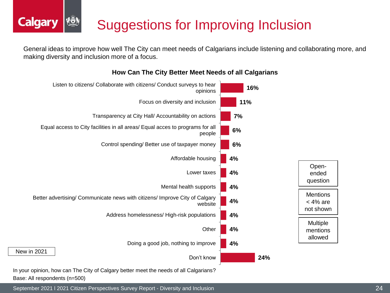# Suggestions for Improving Inclusion

General ideas to improve how well The City can meet needs of Calgarians include listening and collaborating more, and making diversity and inclusion more of a focus.

![](_page_23_Figure_2.jpeg)

**How Can The City Better Meet Needs of all Calgarians**

In your opinion, how can The City of Calgary better meet the needs of all Calgarians? Base: All respondents (n=500)

**Calgary** 

September 2021 l 2021 Citizen Perspectives Survey Report - Diversity and Inclusion 24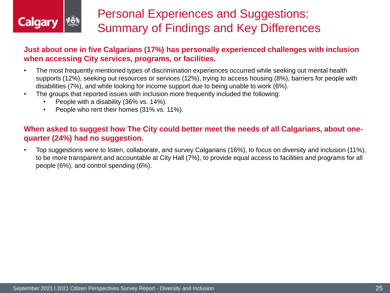![](_page_24_Picture_0.jpeg)

# Personal Experiences and Suggestions: Summary of Findings and Key Differences

### **Just about one in five Calgarians (17%) has personally experienced challenges with inclusion when accessing City services, programs, or facilities.**

- The most frequently mentioned types of discrimination experiences occurred while seeking out mental health supports (12%), seeking out resources or services (12%), trying to access housing (8%), barriers for people with disabilities (7%), and while looking for income support due to being unable to work (6%).
- The groups that reported issues with inclusion more frequently included the following:
	- People with a disability (36% vs. 14%).
	- People who rent their homes (31% vs. 11%).

### **When asked to suggest how The City could better meet the needs of all Calgarians, about onequarter (24%) had no suggestion.**

• Top suggestions were to listen, collaborate, and survey Calgarians (16%), to focus on diversity and inclusion (11%), to be more transparent and accountable at City Hall (7%), to provide equal access to facilities and programs for all people (6%), and control spending (6%).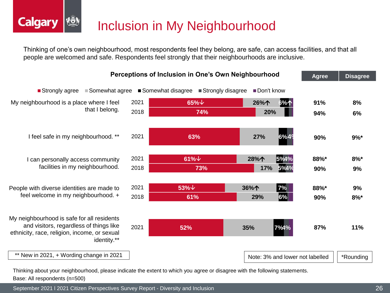![](_page_25_Picture_0.jpeg)

Thinking of one's own neighbourhood, most respondents feel they belong, are safe, can access facilities, and that all people are welcomed and safe. Respondents feel strongly that their neighbourhoods are inclusive.

![](_page_25_Figure_2.jpeg)

Thinking about your neighbourhood, please indicate the extent to which you agree or disagree with the following statements. Base: All respondents (n=500)

September 2021 l 2021 Citizen Perspectives Survey Report - Diversity and Inclusion 26

**Calgary**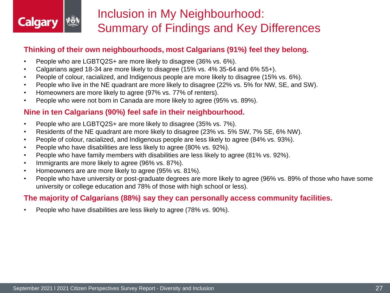![](_page_26_Picture_0.jpeg)

# Inclusion in My Neighbourhood: Summary of Findings and Key Differences

## **Thinking of their own neighbourhoods, most Calgarians (91%) feel they belong.**

- People who are LGBTQ2S+ are more likely to disagree (36% vs. 6%).
- Calgarians aged 18-34 are more likely to disagree (15% vs. 4% 35-64 and 6% 55+).
- People of colour, racialized, and Indigenous people are more likely to disagree (15% vs. 6%).
- People who live in the NE quadrant are more likely to disagree (22% vs. 5% for NW, SE, and SW).
- Homeowners are more likely to agree (97% vs. 77% of renters).
- People who were not born in Canada are more likely to agree (95% vs. 89%).

## **Nine in ten Calgarians (90%) feel safe in their neighbourhood.**

- People who are LGBTQ2S+ are more likely to disagree (35% vs. 7%).
- Residents of the NE quadrant are more likely to disagree (23% vs. 5% SW, 7% SE, 6% NW).
- People of colour, racialized, and Indigenous people are less likely to agree (84% vs. 93%).
- People who have disabilities are less likely to agree (80% vs. 92%).
- People who have family members with disabilities are less likely to agree (81% vs. 92%).
- Immigrants are more likely to agree (96% vs. 87%).
- Homeowners are are more likely to agree (95% vs. 81%).
- People who have university or post-graduate degrees are more likely to agree (96% vs. 89% of those who have some university or college education and 78% of those with high school or less).

### **The majority of Calgarians (88%) say they can personally access community facilities.**

• People who have disabilities are less likely to agree (78% vs. 90%).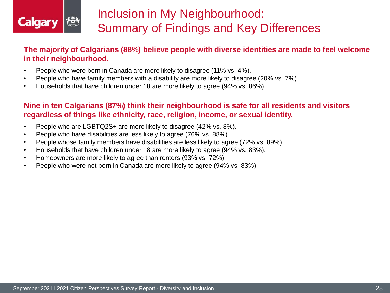![](_page_27_Picture_0.jpeg)

# Inclusion in My Neighbourhood: Summary of Findings and Key Differences

**The majority of Calgarians (88%) believe people with diverse identities are made to feel welcome in their neighbourhood.**

- People who were born in Canada are more likely to disagree (11% vs. 4%).
- People who have family members with a disability are more likely to disagree (20% vs. 7%).
- Households that have children under 18 are more likely to agree (94% vs. 86%).

## **Nine in ten Calgarians (87%) think their neighbourhood is safe for all residents and visitors regardless of things like ethnicity, race, religion, income, or sexual identity.**

- People who are LGBTQ2S+ are more likely to disagree (42% vs. 8%).
- People who have disabilities are less likely to agree (76% vs. 88%).
- People whose family members have disabilities are less likely to agree (72% vs. 89%).
- Households that have children under 18 are more likely to agree (94% vs. 83%).
- Homeowners are more likely to agree than renters (93% vs. 72%).
- People who were not born in Canada are more likely to agree (94% vs. 83%).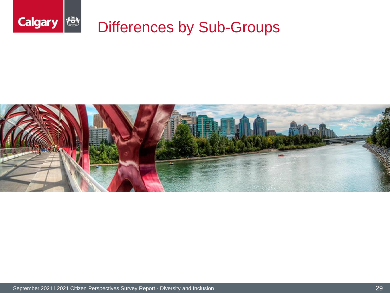![](_page_28_Picture_0.jpeg)

![](_page_28_Picture_1.jpeg)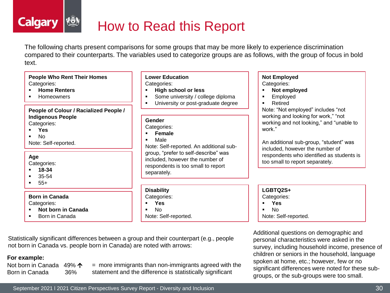### **Calgary** How to Read this Report

The following charts present comparisons for some groups that may be more likely to experience discrimination compared to their counterparts. The variables used to categorize groups are as follows, with the group of focus in bold text.

#### **People Who Rent Their Homes** Categories:

- **Home Renters**
- Homeowners

### **People of Colour / Racialized People / Indigenous People**

Categories:

- **Yes**
- No

Note: Self-reported.

#### **Age**

Categories:

- **18-34**
- 35-54
- $-55+$

### **Born in Canada**

Categories:

- **Not born in Canada**
- Born in Canada

#### **Lower Education** Categories:

▪ **High school or less**

- Some university / college diploma
- **■** University or post-graduate degree

#### **Gender**

#### Categories:

- **Female**
- Male

Note: Self-reported. An additional subgroup, "prefer to self-describe" was included, however the number of respondents is too small to report separately.

#### **Disability**

Categories:

- **Yes**
- No
- Note: Self-reported.

### **Not Employed**

Categories:

- **Not employed**
- Employed
- Retired

Note: "Not employed" includes "not working and looking for work," "not working and not looking," and "unable to work."

An additional sub-group, "student" was included, however the number of respondents who identified as students is too small to report separately.

### **LGBTQ2S+**

Categories:

- **Yes**
- No
- Note: Self-reported.

Additional questions on demographic and personal characteristics were asked in the survey, including household income, presence of children or seniors in the household, language spoken at home, etc.; however, few or no significant differences were noted for these subgroups, or the sub-groups were too small.

Statistically significant differences between a group and their counterpart (e.g., people not born in Canada vs. people born in Canada) are noted with arrows:

### **For example:**

Not born in Canada  $49\%$   $\uparrow$ Born in Canada 36%

= more immigrants than non-immigrants agreed with the statement and the difference is statistically significant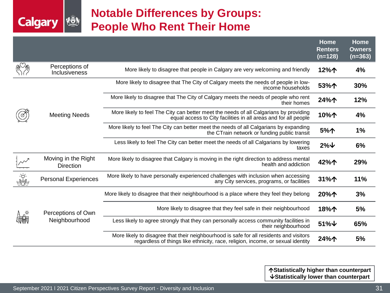## **Notable Differences by Groups: People Who Rent Their Home**

|                                                                                                                                                                                                                                                                                                                                                                                                                                                             |                                         |                                                                                                                                                                            | Home<br><b>Renters</b><br>$(n=128)$ | Home<br><b>Owners</b><br>$(n=363)$ |
|-------------------------------------------------------------------------------------------------------------------------------------------------------------------------------------------------------------------------------------------------------------------------------------------------------------------------------------------------------------------------------------------------------------------------------------------------------------|-----------------------------------------|----------------------------------------------------------------------------------------------------------------------------------------------------------------------------|-------------------------------------|------------------------------------|
|                                                                                                                                                                                                                                                                                                                                                                                                                                                             | Perceptions of<br>Inclusiveness         | More likely to disagree that people in Calgary are very welcoming and friendly                                                                                             | 12%个                                | 4%                                 |
|                                                                                                                                                                                                                                                                                                                                                                                                                                                             |                                         | More likely to disagree that The City of Calgary meets the needs of people in low-<br>income households                                                                    | 53%个                                | 30%                                |
|                                                                                                                                                                                                                                                                                                                                                                                                                                                             |                                         | More likely to disagree that The City of Calgary meets the needs of people who rent<br>their homes                                                                         | 24%个                                | 12%                                |
|                                                                                                                                                                                                                                                                                                                                                                                                                                                             | <b>Meeting Needs</b>                    | More likely to feel The City can better meet the needs of all Calgarians by providing<br>equal access to City facilities in all areas and for all people                   | 10%个                                | 4%                                 |
|                                                                                                                                                                                                                                                                                                                                                                                                                                                             |                                         | More likely to feel The City can better meet the needs of all Calgarians by expanding<br>the CTrain network or funding public transit                                      | 5%个                                 | 1%                                 |
|                                                                                                                                                                                                                                                                                                                                                                                                                                                             |                                         | Less likely to feel The City can better meet the needs of all Calgarians by lowering<br>taxes                                                                              | $2\%$ $\downarrow$                  | 6%                                 |
|                                                                                                                                                                                                                                                                                                                                                                                                                                                             | Moving in the Right<br><b>Direction</b> | More likely to disagree that Calgary is moving in the right direction to address mental<br>health and addiction                                                            | 42%个                                | 29%                                |
| $\frac{1}{\sqrt{\frac{1}{2}}}{\sqrt{\frac{1}{2}}}{\sqrt{\frac{1}{2}}}{\sqrt{\frac{1}{2}}}{\sqrt{\frac{1}{2}}}{\sqrt{\frac{1}{2}}}{\sqrt{\frac{1}{2}}}{\sqrt{\frac{1}{2}}}{\sqrt{\frac{1}{2}}}{\sqrt{\frac{1}{2}}}{\sqrt{\frac{1}{2}}}{\sqrt{\frac{1}{2}}}{\sqrt{\frac{1}{2}}}{\sqrt{\frac{1}{2}}}{\sqrt{\frac{1}{2}}}{\sqrt{\frac{1}{2}}}{\sqrt{\frac{1}{2}}}{\sqrt{\frac{1}{2}}}{\sqrt{\frac{1}{2}}}{\sqrt{\frac{1}{2}}}{\sqrt{\frac{1}{2}}}{\sqrt{\frac{$ | <b>Personal Experiences</b>             | More likely to have personally experienced challenges with inclusion when accessing<br>any City services, programs, or facilities                                          | 31%个                                | 11%                                |
|                                                                                                                                                                                                                                                                                                                                                                                                                                                             |                                         | More likely to disagree that their neighbourhood is a place where they feel they belong                                                                                    | 20%个                                | 3%                                 |
|                                                                                                                                                                                                                                                                                                                                                                                                                                                             | Perceptions of Own                      | More likely to disagree that they feel safe in their neighbourhood                                                                                                         | 18%个                                | 5%                                 |
|                                                                                                                                                                                                                                                                                                                                                                                                                                                             | Neighbourhood                           | Less likely to agree strongly that they can personally access community facilities in<br>their neighbourhood                                                               | $51\%$ $\downarrow$                 | 65%                                |
|                                                                                                                                                                                                                                                                                                                                                                                                                                                             |                                         | More likely to disagree that their neighbourhood is safe for all residents and visitors<br>regardless of things like ethnicity, race, religion, income, or sexual identity | 24%个                                | 5%                                 |

**Statistically higher than counterpart Statistically lower than counterpart**

**KÖN** 

**Calgary**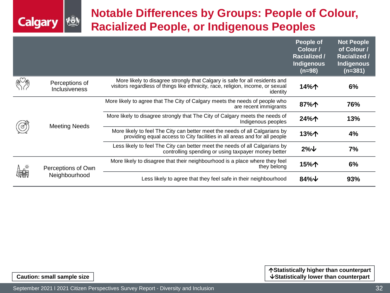## **Notable Differences by Groups: People of Colour, Racialized People, or Indigenous Peoples**

|          |                                        |                                                                                                                                                                            | <b>People of</b><br>Colour /<br><b>Racialized /</b><br><b>Indigenous</b><br>$(n=98)$ | <b>Not People</b><br>of Colour /<br><b>Racialized /</b><br>Indigenous<br>$(n=381)$ |
|----------|----------------------------------------|----------------------------------------------------------------------------------------------------------------------------------------------------------------------------|--------------------------------------------------------------------------------------|------------------------------------------------------------------------------------|
|          | Perceptions of<br><b>Inclusiveness</b> | More likely to disagree strongly that Calgary is safe for all residents and<br>visitors regardless of things like ethnicity, race, religion, income, or sexual<br>identity | 14%个                                                                                 | 6%                                                                                 |
|          | <b>Meeting Needs</b>                   | More likely to agree that The City of Calgary meets the needs of people who<br>are recent immigrants                                                                       | 87%个                                                                                 | 76%                                                                                |
|          |                                        | More likely to disagree strongly that The City of Calgary meets the needs of<br>Indigenous peoples                                                                         | 24%个                                                                                 | 13%                                                                                |
|          |                                        | More likely to feel The City can better meet the needs of all Calgarians by<br>providing equal access to City facilities in all areas and for all people                   | 13%个                                                                                 | 4%                                                                                 |
|          |                                        | Less likely to feel The City can better meet the needs of all Calgarians by<br>controlling spending or using taxpayer money better                                         | $2\%$ $\downarrow$                                                                   | 7%                                                                                 |
| $\alpha$ | Perceptions of Own                     | More likely to disagree that their neighbourhood is a place where they feel<br>they belong                                                                                 | 15%个                                                                                 | 6%                                                                                 |
|          | Neighbourhood                          | Less likely to agree that they feel safe in their neighbourhood                                                                                                            | 84% $\downarrow$                                                                     | 93%                                                                                |

**Statistically higher than counterpart Caution: small sample size**  $\vert$ 

**Calgary**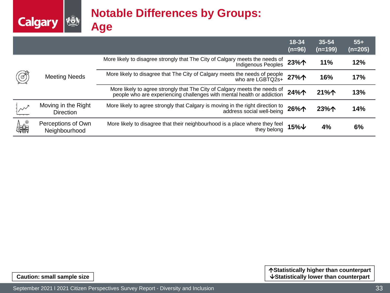## **Notable Differences by Groups: Age**

|             |                                         |                                                                                                                                                  | 18-34<br>$(n=96)$ | 35-54<br>$(n=199)$ | $55+$<br>(n=205) |
|-------------|-----------------------------------------|--------------------------------------------------------------------------------------------------------------------------------------------------|-------------------|--------------------|------------------|
|             |                                         | More likely to disagree strongly that The City of Calgary meets the needs of<br>Indigenous Peoples                                               | 23%个              | 11%                | 12%              |
| $\circledS$ | <b>Meeting Needs</b>                    | More likely to disagree that The City of Calgary meets the needs of people<br>who are LGBTQ2s+                                                   | 27%个              | 16%                | 17%              |
|             |                                         | More likely to agree strongly that The City of Calgary meets the needs of people who are experiencing challenges with mental health or addiction | 24%个              | 21%个               | 13%              |
|             | Moving in the Right<br><b>Direction</b> | More likely to agree strongly that Calgary is moving in the right direction to<br>address social well-being                                      | 26%个              | 23%个               | 14%              |
| てき<br>作品    | Perceptions of Own<br>Neighbourhood     | More likely to disagree that their neighbourhood is a place where they feel<br>they belong                                                       | 15%↓              | 4%                 | 6%               |

**Calgary &**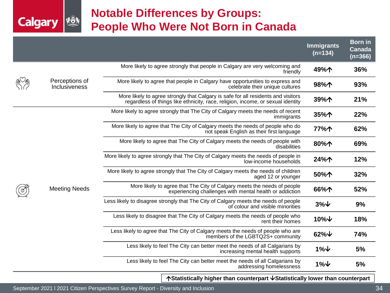## **Notable Differences by Groups: People Who Were Not Born in Canada**

|  |                                 |                                                                                                                                                                      | <b>Immigrants</b><br>$(n=134)$ | <b>Born</b> in<br>Canada<br>$(n=366)$ |
|--|---------------------------------|----------------------------------------------------------------------------------------------------------------------------------------------------------------------|--------------------------------|---------------------------------------|
|  |                                 | More likely to agree strongly that people in Calgary are very welcoming and<br>friendly                                                                              | 49%个                           | 36%                                   |
|  | Perceptions of<br>Inclusiveness | More likely to agree that people in Calgary have opportunities to express and<br>celebrate their unique cultures                                                     | 98%个                           | 93%                                   |
|  |                                 | More likely to agree strongly that Calgary is safe for all residents and visitors<br>regardless of things like ethnicity, race, religion, income, or sexual identity | 39%个                           | 21%                                   |
|  |                                 | More likely to agree strongly that The City of Calgary meets the needs of recent<br>immigrants                                                                       | 35%个                           | 22%                                   |
|  |                                 | More likely to agree that The City of Calgary meets the needs of people who do<br>not speak English as their first language                                          | 77%个                           | 62%                                   |
|  | <b>Meeting Needs</b>            | More likely to agree that The City of Calgary meets the needs of people with<br>disabilities                                                                         | 80%个                           | 69%                                   |
|  |                                 | More likely to agree strongly that The City of Calgary meets the needs of people in<br>low-income households                                                         | 24%个                           | 12%                                   |
|  |                                 | More likely to agree strongly that The City of Calgary meets the needs of children<br>aged 12 or younger                                                             | 50%个                           | 32%                                   |
|  |                                 | More likely to agree that The City of Calgary meets the needs of people<br>experiencing challenges with mental health or addiction                                   | 66%个                           | 52%                                   |
|  |                                 | Less likely to disagree strongly that The City of Calgary meets the needs of people<br>of colour and visible minorities                                              | $3\%$ $\downarrow$             | 9%                                    |
|  |                                 | Less likely to disagree that The City of Calgary meets the needs of people who<br>rent their homes                                                                   | $10\%$ $\downarrow$            | 18%                                   |
|  |                                 | Less likely to agree that The City of Calgary meets the needs of people who are<br>members of the LGBTQ2S+ community                                                 | $62\%$ $\forall$               | 74%                                   |
|  |                                 | Less likely to feel The City can better meet the needs of all Calgarians by<br>increasing mental health supports                                                     | $1\%$ $\downarrow$             | 5%                                    |
|  |                                 | Less likely to feel The City can better meet the needs of all Calgarians by<br>addressing homelessness                                                               | $1\%$ $\downarrow$             | 5%                                    |
|  |                                 | A Otatlatlandi. I. lah sa than a suntany satul Otatlatlandi. I.                                                                                                      |                                |                                       |

**Statistically higher than counterpart Statistically lower than counterpart**

**KÖN** 

**Calgary**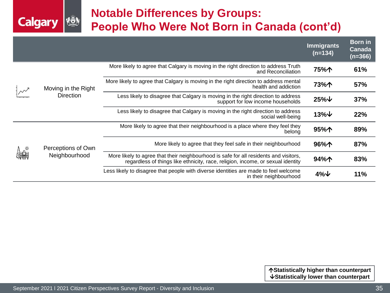## **Notable Differences by Groups: People Who Were Not Born in Canada (cont'd)**

|  |                     |                                                                                                                                                                          | <b>Immigrants</b><br>$(n=134)$ | <b>Born</b> in<br>Canada<br>$(n=366)$ |
|--|---------------------|--------------------------------------------------------------------------------------------------------------------------------------------------------------------------|--------------------------------|---------------------------------------|
|  |                     | More likely to agree that Calgary is moving in the right direction to address Truth<br>and Reconciliation                                                                | 75%个                           | 61%                                   |
|  | Moving in the Right | More likely to agree that Calgary is moving in the right direction to address mental<br>health and addiction                                                             | 73%个                           | 57%                                   |
|  | <b>Direction</b>    | Less likely to disagree that Calgary is moving in the right direction to address<br>support for low income households                                                    | $25\%$ $\downarrow$            | 37%                                   |
|  |                     | Less likely to disagree that Calgary is moving in the right direction to address<br>social well-being                                                                    | $13\%$ $\downarrow$            | 22%                                   |
|  |                     | More likely to agree that their neighbourhood is a place where they feel they<br>belong                                                                                  | 95%个                           | 89%                                   |
|  | Perceptions of Own  | More likely to agree that they feel safe in their neighbourhood                                                                                                          | 96%个                           | 87%                                   |
|  | Neighbourhood       | More likely to agree that their neighbourhood is safe for all residents and visitors,<br>regardless of things like ethnicity, race, religion, income, or sexual identity | 94%个                           | 83%                                   |
|  |                     | Less likely to disagree that people with diverse identities are made to feel welcome<br>in their neighbourhood                                                           | $4\%$ $\downarrow$             | 11%                                   |

**KÖN** 

**Calgary**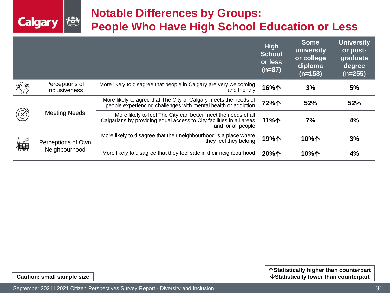![](_page_35_Picture_0.jpeg)

## **Notable Differences by Groups: People Who Have High School Education or Less**

|         |                                 |                                                                                                                                                             | <b>High</b><br><b>School</b><br>or less<br>$(n=87)$ | <b>Some</b><br>university<br>or college<br>diploma<br>$(n=158)$ | <b>University</b><br>or post-<br>graduate<br>degree<br>$(n=255)$ |
|---------|---------------------------------|-------------------------------------------------------------------------------------------------------------------------------------------------------------|-----------------------------------------------------|-----------------------------------------------------------------|------------------------------------------------------------------|
|         | Perceptions of<br>Inclusiveness | More likely to disagree that people in Calgary are very welcoming<br>and friendly                                                                           | 16%个                                                | 3%                                                              | 5%                                                               |
|         |                                 | More likely to agree that The City of Calgary meets the needs of<br>people experiencing challenges with mental health or addiction                          | 72%个                                                | 52%                                                             | 52%                                                              |
| $\circ$ | <b>Meeting Needs</b>            | More likely to feel The City can better meet the needs of all<br>Calgarians by providing equal access to City facilities in all areas<br>and for all people | 11%个                                                | 7%                                                              | 4%                                                               |
| 體       | Perceptions of Own              | More likely to disagree that their neighbourhood is a place where<br>they feel they belong                                                                  | 19%个                                                | 10%个                                                            | 3%                                                               |
|         | Neighbourhood                   | More likely to disagree that they feel safe in their neighbourhood                                                                                          | 20%个                                                | 10%个                                                            | 4%                                                               |

**Statistically higher than counterpart Caution: small sample size**  $\vert$ 

September 2021 | 2021 Citizen Perspectives Survey Report - Diversity and Inclusion Voter Voter Voter Voter Voter Voter Voter Voter Voter Voter Voter Voter Voter Voter Voter Voter Voter Voter Voter Voter Voter Voter Voter V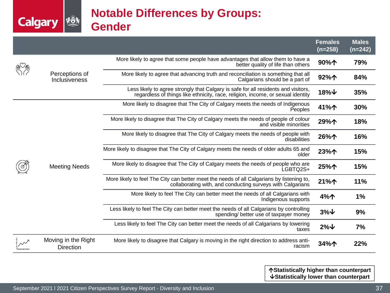## **Notable Differences by Groups: Gender**

|  |                                         |                                                                                                                                                                       | Females<br>$(n=258)$                                                                             | <b>Males</b><br>$(n=242)$ |     |
|--|-----------------------------------------|-----------------------------------------------------------------------------------------------------------------------------------------------------------------------|--------------------------------------------------------------------------------------------------|---------------------------|-----|
|  |                                         | More likely to agree that some people have advantages that allow them to have a<br>better quality of life than others                                                 | 90%个                                                                                             | 79%                       |     |
|  | Perceptions of<br>Inclusiveness         | More likely to agree that advancing truth and reconciliation is something that all<br>Calgarians should be a part of                                                  | 92%个                                                                                             | 84%                       |     |
|  |                                         | Less likely to agree strongly that Calgary is safe for all residents and visitors,<br>regardless of things like ethnicity, race, religion, income, or sexual identity | $18\%$ $\downarrow$                                                                              | 35%                       |     |
|  |                                         | More likely to disagree that The City of Calgary meets the needs of Indigenous<br>Peoples                                                                             | 41%个                                                                                             | 30%                       |     |
|  |                                         | More likely to disagree that The City of Calgary meets the needs of people of colour<br>and visible minorities                                                        | 29%个                                                                                             | 18%                       |     |
|  | <b>Meeting Needs</b>                    | More likely to disagree that The City of Calgary meets the needs of people with<br>disabilities                                                                       | 26%个                                                                                             | 16%                       |     |
|  |                                         |                                                                                                                                                                       | More likely to disagree that The City of Calgary meets the needs of older adults 65 and<br>older | 23%个                      | 15% |
|  |                                         | More likely to disagree that The City of Calgary meets the needs of people who are<br>LGBTQ2S+                                                                        | 25%个                                                                                             | 15%                       |     |
|  |                                         | More likely to feel The City can better meet the needs of all Calgarians by listening to,<br>collaborating with, and conducting surveys with Calgarians               | 21%个                                                                                             | 11%                       |     |
|  |                                         | More likely to feel The City can better meet the needs of all Calgarians with<br>Indigenous supports                                                                  | 4%个                                                                                              | 1%                        |     |
|  |                                         | Less likely to feel The City can better meet the needs of all Calgarians by controlling<br>spending/ better use of taxpayer money                                     | $3\%$ $\downarrow$                                                                               | 9%                        |     |
|  |                                         | Less likely to feel The City can better meet the needs of all Calgarians by lowering<br>taxes                                                                         | $2\%$ $\downarrow$                                                                               | 7%                        |     |
|  | Moving in the Right<br><b>Direction</b> | More likely to disagree that Calgary is moving in the right direction to address anti-<br>racism                                                                      | 34%个                                                                                             | 22%                       |     |

**Statistically higher than counterpart Statistically lower than counterpart**

**Calgary &**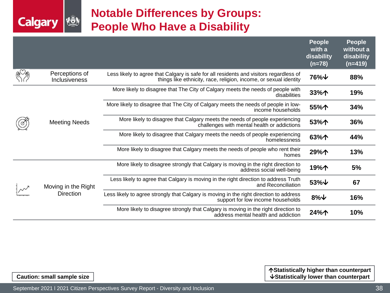## **Notable Differences by Groups: People Who Have a Disability**

|  |                                 |                                                                                                                                                             | <b>People</b><br>with a<br>disability<br>$(n=78)$ | <b>People</b><br>without a<br>disability<br>$(n=419)$ |
|--|---------------------------------|-------------------------------------------------------------------------------------------------------------------------------------------------------------|---------------------------------------------------|-------------------------------------------------------|
|  | Perceptions of<br>Inclusiveness | Less likely to agree that Calgary is safe for all residents and visitors regardless of<br>things like ethnicity, race, religion, income, or sexual identity | 76%↓                                              | 88%                                                   |
|  |                                 | More likely to disagree that The City of Calgary meets the needs of people with<br>disabilities                                                             | 33%个                                              | 19%                                                   |
|  |                                 | More likely to disagree that The City of Calgary meets the needs of people in low-<br>income households                                                     | 55%个                                              | 34%                                                   |
|  | <b>Meeting Needs</b>            | More likely to disagree that Calgary meets the needs of people experiencing<br>challenges with mental health or addictions                                  | 53%个                                              | 36%                                                   |
|  |                                 | More likely to disagree that Calgary meets the needs of people experiencing<br>homelessness                                                                 | 63%个                                              | 44%                                                   |
|  |                                 | More likely to disagree that Calgary meets the needs of people who rent their<br>homes                                                                      | 29%个                                              | 13%                                                   |
|  |                                 | More likely to disagree strongly that Calgary is moving in the right direction to<br>address social well-being                                              | 19%个                                              | 5%                                                    |
|  | Moving in the Right             | Less likely to agree that Calgary is moving in the right direction to address Truth<br>and Reconciliation                                                   | 53% $\downarrow$                                  | 67                                                    |
|  | <b>Direction</b>                | Less likely to agree strongly that Calgary is moving in the right direction to address<br>support for low income households                                 | $8\%$ $\sqrt{ }$                                  | 16%                                                   |
|  |                                 | More likely to disagree strongly that Calgary is moving in the right direction to<br>address mental health and addiction                                    | 24%个                                              | 10%                                                   |

**Calgary** 

**KÖ)**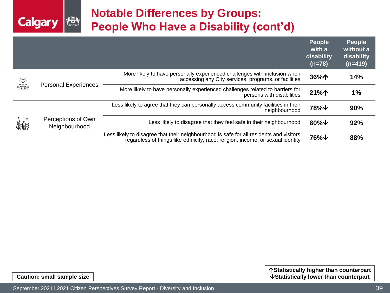## **Notable Differences by Groups: People Who Have a Disability (cont'd)**

|          |                                                              |                                                                                                                                                                            | <b>People</b><br>with a<br>disability<br>$(n=78)$ | <b>People</b><br>without a<br>disability<br>$(n=419)$ |
|----------|--------------------------------------------------------------|----------------------------------------------------------------------------------------------------------------------------------------------------------------------------|---------------------------------------------------|-------------------------------------------------------|
|          | $\frac{\dot{Q}}{\sqrt{2\pi}}$<br><b>Personal Experiences</b> | More likely to have personally experienced challenges with inclusion when<br>accessing any City services, programs, or facilities                                          | 36%个                                              | 14%                                                   |
|          |                                                              | More likely to have personally experienced challenges related to barriers for<br>persons with disabilities                                                                 | 21%个                                              | 1%                                                    |
| てい<br>作品 | Perceptions of Own<br>Neighbourhood                          | Less likely to agree that they can personally access community facilities in their<br>neighbourhood                                                                        | $78\%$ $\downarrow$                               | 90%                                                   |
|          |                                                              | Less likely to disagree that they feel safe in their neighbourhood                                                                                                         | 80% $\downarrow$                                  | 92%                                                   |
|          |                                                              | Less likely to disagree that their neighbourhood is safe for all residents and visitors<br>regardless of things like ethnicity, race, religion, income, or sexual identity | 76%↓                                              | 88%                                                   |

**Calgary** 

łō.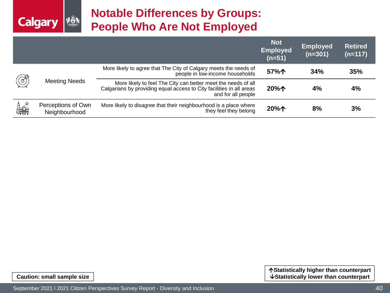![](_page_39_Picture_0.jpeg)

## **Notable Differences by Groups: People Who Are Not Employed**

|               |                                     |                                                                                                                                                             | <b>Not</b><br><b>Employed</b><br>$(n=51)$ | Employed<br>$(n=301)$ | <b>Retired</b><br>$(n=117)$ |
|---------------|-------------------------------------|-------------------------------------------------------------------------------------------------------------------------------------------------------------|-------------------------------------------|-----------------------|-----------------------------|
| $\circled{3}$ | <b>Meeting Needs</b>                | More likely to agree that The City of Calgary meets the needs of<br>people in low-income households                                                         | 57%个                                      | 34%                   | 35%                         |
|               |                                     | More likely to feel The City can better meet the needs of all<br>Calgarians by providing equal access to City facilities in all areas<br>and for all people | 20%个                                      | 4%                    | 4%                          |
| たい。<br>作品     | Perceptions of Own<br>Neighbourhood | More likely to disagree that their neighbourhood is a place where<br>they feel they belong                                                                  | 20%个                                      | 8%                    | 3%                          |

**Statistically higher than counterpart Caution: small sample size**  $\vert$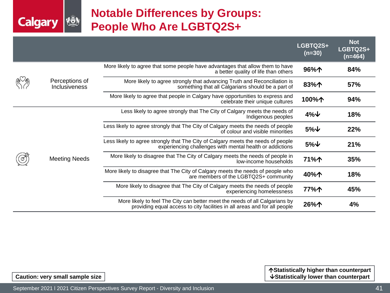## **Notable Differences by Groups: People Who Are LGBTQ2S+**

|  |                                        |                                                                                                                                                          | LGBTQ2S+<br>$(n=30)$ | <b>Not</b><br>LGBTQ2S+<br>$(n=464)$ |
|--|----------------------------------------|----------------------------------------------------------------------------------------------------------------------------------------------------------|----------------------|-------------------------------------|
|  |                                        | More likely to agree that some people have advantages that allow them to have<br>a better quality of life than others                                    | 96%个                 | 84%                                 |
|  | Perceptions of<br><b>Inclusiveness</b> | More likely to agree strongly that advancing Truth and Reconciliation is<br>something that all Calgarians should be a part of                            | 83%个                 | 57%                                 |
|  |                                        | More likely to agree that people in Calgary have opportunities to express and<br>celebrate their unique cultures                                         | 100%个                | 94%                                 |
|  | <b>Meeting Needs</b>                   | Less likely to agree strongly that The City of Calgary meets the needs of<br>Indigenous peoples                                                          | $4\%$ $\downarrow$   | 18%                                 |
|  |                                        | Less likely to agree strongly that The City of Calgary meets the needs of people<br>of colour and visible minorities                                     | $5\%$ $\downarrow$   | 22%                                 |
|  |                                        | Less likely to agree strongly that The City of Calgary meets the needs of people<br>experiencing challenges with mental health or addictions             | $5%$ $\downarrow$    | 21%                                 |
|  |                                        | More likely to disagree that The City of Calgary meets the needs of people in<br>low-income households                                                   | 71%个                 | 35%                                 |
|  |                                        | More likely to disagree that The City of Calgary meets the needs of people who<br>are members of the LGBTQ2S+ community                                  | 40%个                 | 18%                                 |
|  |                                        | More likely to disagree that The City of Calgary meets the needs of people<br>experiencing homelessness                                                  | 77%个                 | 45%                                 |
|  |                                        | More likely to feel The City can better meet the needs of all Calgarians by<br>providing equal access to city facilities in all areas and for all people | 26%个                 | 4%                                  |

**Statistically higher than counterpart Caution: very small sample size**  $\vert$ 

**VERY** 

**Calgary**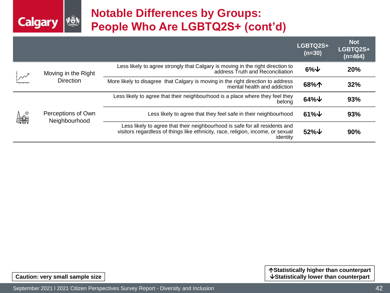## **Notable Differences by Groups: People Who Are LGBTQ2S+ (cont'd)**

|         |                                         |                                                                                                                                                                            | LGBTQ2S+<br>$(n=30)$ | <b>Not</b><br>LGBTQ2S+<br>$(n=464)$ |
|---------|-----------------------------------------|----------------------------------------------------------------------------------------------------------------------------------------------------------------------------|----------------------|-------------------------------------|
|         | Moving in the Right<br><b>Direction</b> | Less likely to agree strongly that Calgary is moving in the right direction to<br>address Truth and Reconciliation                                                         | $6\%$ $\downarrow$   | 20%                                 |
|         |                                         | More likely to disagree that Calgary is moving in the right direction to address<br>mental health and addiction                                                            | 68%个                 | 32%                                 |
| ん<br>編集 | Perceptions of Own<br>Neighbourhood     | Less likely to agree that their neighbourhood is a place where they feel they<br>belong                                                                                    | $64\%$ $\downarrow$  | 93%                                 |
|         |                                         | Less likely to agree that they feel safe in their neighbourhood                                                                                                            | $61\%$ $\downarrow$  | 93%                                 |
|         |                                         | Less likely to agree that their neighbourhood is safe for all residents and<br>visitors regardless of things like ethnicity, race, religion, income, or sexual<br>identity | $52\%$ $\forall$     | 90%                                 |

**Calgary** 

**VON**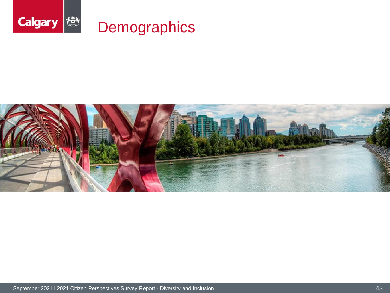![](_page_42_Picture_0.jpeg)

![](_page_42_Picture_1.jpeg)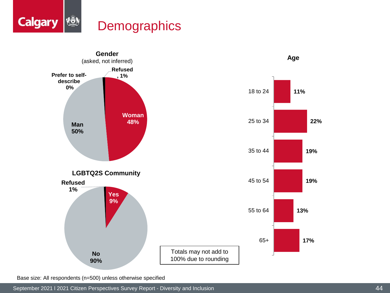![](_page_43_Picture_0.jpeg)

![](_page_43_Figure_1.jpeg)

Base size: All respondents (n=500) unless otherwise specified

September 2021 l 2021 Citizen Perspectives Survey Report - Diversity and Inclusion 44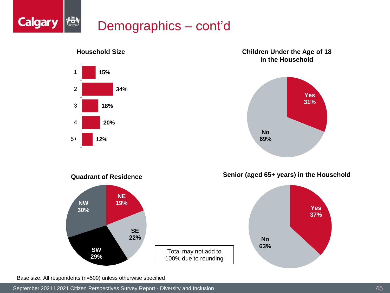![](_page_44_Picture_0.jpeg)

**Children Under the Age of 18 in the Household**

![](_page_44_Figure_2.jpeg)

### **Household Size**

![](_page_44_Figure_4.jpeg)

**Quadrant of Residence**

![](_page_44_Figure_5.jpeg)

**Yes 37%**

![](_page_44_Figure_6.jpeg)

Base size: All respondents (n=500) unless otherwise specified

September 2021 l 2021 Citizen Perspectives Survey Report - Diversity and Inclusion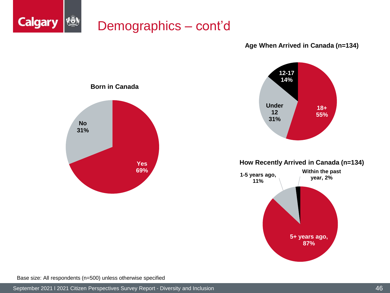![](_page_45_Picture_0.jpeg)

#### **Age When Arrived in Canada (n=134)**

![](_page_45_Figure_2.jpeg)

**How Recently Arrived in Canada (n=134)**

![](_page_45_Figure_4.jpeg)

![](_page_45_Figure_5.jpeg)

Base size: All respondents (n=500) unless otherwise specified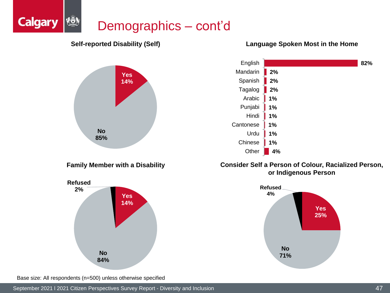### {ō} Demographics – cont'd

![](_page_46_Figure_1.jpeg)

### **Language Spoken Most in the Home**

![](_page_46_Figure_3.jpeg)

### **Consider Self a Person of Colour, Racialized Person, or Indigenous Person**

![](_page_46_Figure_5.jpeg)

**14% No 84%**

Base size: All respondents (n=500) unless otherwise specified

**Calgary**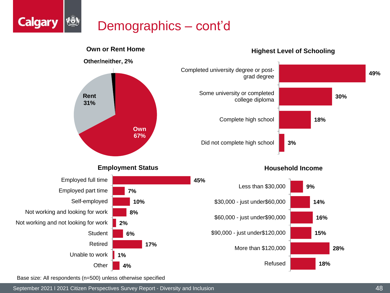# Demographics – cont'd

![](_page_47_Figure_1.jpeg)

Base size: All respondents (n=500) unless otherwise specified

**Calgary** 

September 2021 l 2021 Citizen Perspectives Survey Report - Diversity and Inclusion 48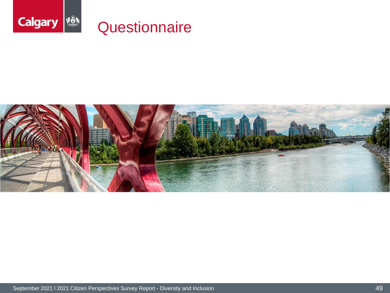![](_page_48_Picture_0.jpeg)

![](_page_48_Picture_1.jpeg)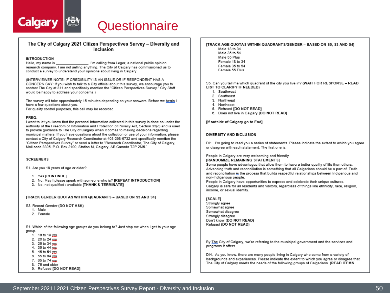![](_page_49_Picture_0.jpeg)

# Questionnaire

#### The City of Calgary 2021 Citizen Perspectives Survey - Diversity and Inclusion

#### **INTRODUCTION**

. I'm calling from Leger, a national public opinion Hello, my name is research company. I am not selling anything. The City of Calgary has commissioned us to conduct a survey to understand your opinions about living in Calgary.

(INTERVIEWER NOTE: IF CREDIBILITY IS AN ISSUE OR IF RESPONDENT HAS A CONCERN SAY: If you wish to talk to a City official about this survey, we encourage you to contact The City at 311 and specifically mention the "Citizen Perspectives Survey." City Staff would be happy to address your concerns.)

The survey will take approximately 15 minutes depending on your answers. Before we begin I have a few questions about you.

For quality control purposes, this call may be recorded.

#### PREQ

I want to let you know that the personal information collected in this survey is done so under the authority of the Freedom of Information and Protection of Privacy Act. Section 33(c) and is used to provide guidance to The City of Calgary when it comes to making decisions regarding municipal matters. If you have questions about the collection or use of your information, please contact a City of Calgary Research Coordinator at 403-268-6732 and specifically mention the "Citizen Perspectives Survey" or send a letter to "Research Coordinator. The City of Calgary. Mail code 8305, P.O. Box 2100, Station M. Calgary, AB Canada T2P 2M5.

#### **SCREENERS**

S1. Are you 18 years of age or older?

- 1. Yes [CONTINUE]
- 2. No, May I please speak with someone who is? [REPEAT INTRODUCTION]
- 3. No. not qualified / available [THANK & TERMINATE]

[TRACK GENDER QUOTAS WITHIN QUADRANTS - BASED ON S3 AND S4]

- S3. Record Gender (DO NOT ASK)
	- 1. Male
	- 2. Female

S4. Which of the following age groups do you belong to? Just stop me when I get to your age group.

1. 18 to 19 yrs

- 2. 20 to 24 yrs
- 3. 25 to 34 xrs 4. 35 to 44 yrs.
- 5. 45 to 54 yes
- 6. 55 to 64 yrs.
- 7. 65 to 74 yus
- 8. 75 and older
- 9. Refused [DO NOT READ]

#### **ITRACK AGE QUOTAS WITHIN QUADRANT S/GENDER - BASED ON S5, S3 AND S41**

- Male 18 to 34
- Male 35 to 54 Male 55 Plus
- Female 18 to 34
- Female 35 to 54
- Female 55 Plus

S5. Can you tell me which quadrant of the city you live in? (WAIT FOR RESPONSE - READ LIST TO CLARIFY IF NEEDEDI

- 1. Southwest
- 2. Southeast
- 3. Northwest
- 4. Northeast
- 5. Refused [DO NOT READ]
- 6. Does not live in Calgary [DO NOT READ]

[If outside of Calgary go to End]

#### DIVERSITY AND INCLUSION

DI1. I'm going to read you a series of statements. Please indicate the extent to which you agree or disagree with each statement. The first one is:

#### People in Calgary are very welcoming and friendly [RANDOMIZE REMAINING STATEMENTS]

Some people have advantages that allow them to have a better quality of life than others. Advancing truth and reconciliation is something that all Calgarians should be a part of. Truth and reconciliation is the process that builds respectful relationships between Indigenous and non-Indigenous people.

People in Calgary have opportunities to express and celebrate their unique cultures. Calgary is safe for all residents and visitors, regardless of things like ethnicity, race, religion, income, or sexual identity.

#### [SCALE]

Strongly agree Somewhat agree Somewhat disagree Strongly disagree Don't know (DO NOT READ) Refused (DO NOT READ)

By The City of Calgary, we're referring to the municipal government and the services and programs it offers.

DI4. As you know, there are many people living in Calgary who come from a variety of backgrounds and experiences. Please indicate the extent to which you agree or disagree that The City of Calgary meets the needs of the following groups of Calgarians. (READ ITEMS.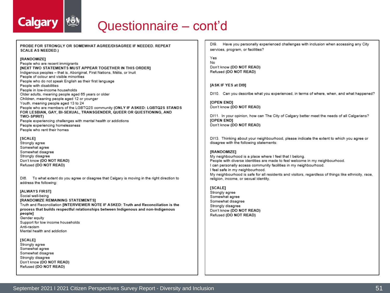![](_page_50_Picture_0.jpeg)

# Questionnaire - cont'd

PROBE FOR STRONGLY OR SOMEWHAT AGREE/DISAGREE IF NEEDED. REPEAT **SCALE AS NEEDED.)** 

#### [RANDOMIZE]

People who are recent immigrants **INEXT TWO STATEMENTS MUST APPEAR TOGETHER IN THIS ORDER)** Indigenous peoples - that is, Aboriginal, First Nations, Métis, or Inuit People of colour and visible minorities People who do not speak English as their first language People with disabilities People in low-income households Older adults, meaning people aged 65 years or older Children, meaning people aged 12 or younger Youth, meaning people aged 13 to 24 People who are members of the LGBTQ2S community (ONLY IF ASKED: LGBTQ2S STANDS FOR LESBIAN, GAY, BI-SEXUAL, TRANSGENDER, QUEER OR QUESTIONING, AND **TWO-SPIRIT)** People experiencing challenges with mental health or addictions People experiencing homelessness People who rent their homes

#### [SCALE]

Strongly agree Somewhat agree Somewhat disagree Strongly disagree Don't know (DO NOT READ) Refused (DO NOT READ)

DI6. To what extent do you agree or disagree that Calgary is moving in the right direction to address the following:

#### [ALWAYS FIRST]

Social well-being [RANDOMIZE REMAINING STATEMENTS] Truth and Reconciliation [INTERVIEWER NOTE IF ASKED: Truth and Reconciliation is the process that builds respectful relationships between Indigenous and non-Indigenous people] Gender equity Support for low income households Anti-racism Mental health and addiction

#### [SCALE]

Strongly agree Somewhat agree Somewhat disagree Strongly disagree Don't know (DO NOT READ) Refused (DO NOT READ)

DI9. Have you personally experienced challenges with inclusion when accessing any City services, program, or facilities?

Yes No Don't know (DO NOT READ) Refused (DO NOT READ)

#### [ASK IF YES at DI9]

DI10. Can you describe what you experienced, in terms of where, when, and what happened?

**IOPEN ENDI** Don't know (DO NOT READ)

DI11. In your opinion, how can The City of Calgary better meet the needs of all Calgarians? [OPEN END] Don't know (DO NOT READ)

DI13. Thinking about your neighbourhood, please indicate the extent to which you agree or disagree with the following statements:

#### [RANDOMIZE]

My neighbourhood is a place where I feel that I belong. People with diverse identities are made to feel welcome in my neighbourhood. I can personally access community facilities in my neighbourhood. I feel safe in my neighbourhood. My neighbourhood is safe for all residents and visitors, regardless of things like ethnicity, race, religion, income, or sexual identity.

#### [SCALE]

Strongly agree Somewhat agree Somewhat disagree Strongly disagree Don't know (DO NOT READ) Refused (DO NOT READ)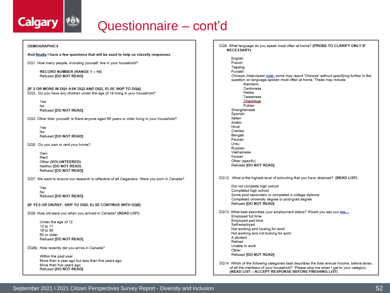![](_page_51_Picture_0.jpeg)

# Questionnaire – cont'd

#### **DEMOGRAPHICS**

And finally I have a few questions that will be used to help us classify responses.

DQ1. How many people, including yourself, live in your household?

RECORD NUMBER (RANGE 1-10) Refused [DO NOT READ]

[IF 2 OR MORE IN DQ1 ASK DQ2 AND DQ3, ELSE SKIP TO DQ4] DQ2. Do you have any children under the age of 18 living in your household?

Yes No Refused [DO NOT READ]

DQ3. Other than yourself, is there anyone aged 65 years or older living in your household?

Yes No Refused IDO NOT READI

DQ5. Do you own or rent your home?

Own Rent Other (VOLUNTEERED) Neither (DO NOT READ) Refused [DO NOT READ]

DQ7. We want to ensure our research is reflective of all Calgarians. Were you born in Canada?

Yes No Refused [DO NOT READ]

[IF YES OR DK/REF, SKIP TO DO9, ELSE CONTINUE WITH DO8]

DQ8. How old were you when you arrived in Canada? (READ LIST)

Under the age of 12 12 to 17 18 to 59 60 or older Refused [DO NOT READ]

DQ8b. How recently did you arrive in Canada?

Within the past year More than a year ago but less than five years ago More than five years ago Refused [DO NOT READ]

DQ9. What language do you speak most often at home? (PROBE TO CLARIFY ONLY IF **NECESSARY** 

English French Tagalog Punjabi Chinese (Interviewer note: some may report 'Chinese' without specifying further in the question on language spoken most often at home. These may include: Mandarin Cantonese Hakka Taiwanese Chacchow Fukien Shanghainese Spanish Italian Arabic Hindi Creoles Bengali Persian Urdu Russian Vietnamese Korean Other (specify) Refused [DO NOT READ] DQ12. What is the highest level of schooling that you have obtained? (READ LIST) Did not complete high school Completed high school Some post secondary or completed a college diploma Completed university degree or post-grad degree Refused [DO NOT READ] DQ13. What best describes your employment status? Would you say you are Employed full time Employed part time Self-employed Not working and looking for work Not working and not looking for work A student Retired Unable to work

DQ14. Which of the following categories best describes the total annual income, before taxes, of all the members of your household? Please stop me when I get to your category. (READ LIST - ACCEPT RESPONSE BEFORE FINISHING LIST)

Other

Refused [DO NOT READ]